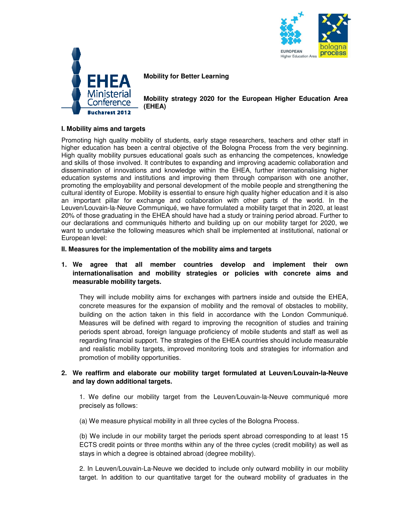



**Mobility for Better Learning** 

**Mobility strategy 2020 for the European Higher Education Area (EHEA)** 

## **I. Mobility aims and targets**

Promoting high quality mobility of students, early stage researchers, teachers and other staff in higher education has been a central objective of the Bologna Process from the very beginning. High quality mobility pursues educational goals such as enhancing the competences, knowledge and skills of those involved. It contributes to expanding and improving academic collaboration and dissemination of innovations and knowledge within the EHEA, further internationalising higher education systems and institutions and improving them through comparison with one another, promoting the employability and personal development of the mobile people and strengthening the cultural identity of Europe. Mobility is essential to ensure high quality higher education and it is also an important pillar for exchange and collaboration with other parts of the world. In the Leuven/Louvain-la-Neuve Communiqué, we have formulated a mobility target that in 2020, at least 20% of those graduating in the EHEA should have had a study or training period abroad. Further to our declarations and communiqués hitherto and building up on our mobility target for 2020, we want to undertake the following measures which shall be implemented at institutional, national or European level:

### **II. Measures for the implementation of the mobility aims and targets**

# **1. We agree that all member countries develop and implement their own internationalisation and mobility strategies or policies with concrete aims and measurable mobility targets.**

They will include mobility aims for exchanges with partners inside and outside the EHEA, concrete measures for the expansion of mobility and the removal of obstacles to mobility, building on the action taken in this field in accordance with the London Communiqué. Measures will be defined with regard to improving the recognition of studies and training periods spent abroad, foreign language proficiency of mobile students and staff as well as regarding financial support. The strategies of the EHEA countries should include measurable and realistic mobility targets, improved monitoring tools and strategies for information and promotion of mobility opportunities.

# **2. We reaffirm and elaborate our mobility target formulated at Leuven/Louvain-la-Neuve and lay down additional targets.**

1. We define our mobility target from the Leuven/Louvain-la-Neuve communiqué more precisely as follows:

(a) We measure physical mobility in all three cycles of the Bologna Process.

(b) We include in our mobility target the periods spent abroad corresponding to at least 15 ECTS credit points or three months within any of the three cycles (credit mobility) as well as stays in which a degree is obtained abroad (degree mobility).

2. In Leuven/Louvain-La-Neuve we decided to include only outward mobility in our mobility target. In addition to our quantitative target for the outward mobility of graduates in the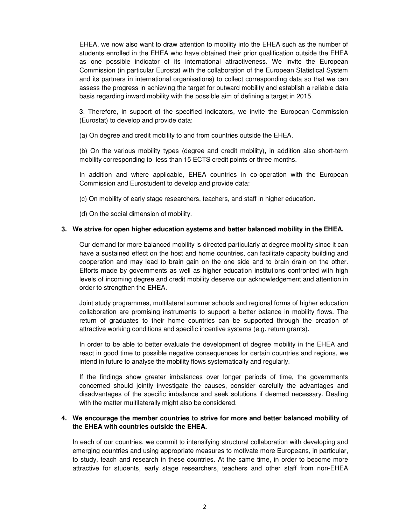EHEA, we now also want to draw attention to mobility into the EHEA such as the number of students enrolled in the EHEA who have obtained their prior qualification outside the EHEA as one possible indicator of its international attractiveness. We invite the European Commission (in particular Eurostat with the collaboration of the European Statistical System and its partners in international organisations) to collect corresponding data so that we can assess the progress in achieving the target for outward mobility and establish a reliable data basis regarding inward mobility with the possible aim of defining a target in 2015.

3. Therefore, in support of the specified indicators, we invite the European Commission (Eurostat) to develop and provide data:

(a) On degree and credit mobility to and from countries outside the EHEA.

(b) On the various mobility types (degree and credit mobility), in addition also short-term mobility corresponding to less than 15 ECTS credit points or three months.

In addition and where applicable, EHEA countries in co-operation with the European Commission and Eurostudent to develop and provide data:

(c) On mobility of early stage researchers, teachers, and staff in higher education.

(d) On the social dimension of mobility.

# **3. We strive for open higher education systems and better balanced mobility in the EHEA.**

Our demand for more balanced mobility is directed particularly at degree mobility since it can have a sustained effect on the host and home countries, can facilitate capacity building and cooperation and may lead to brain gain on the one side and to brain drain on the other. Efforts made by governments as well as higher education institutions confronted with high levels of incoming degree and credit mobility deserve our acknowledgement and attention in order to strengthen the EHEA.

Joint study programmes, multilateral summer schools and regional forms of higher education collaboration are promising instruments to support a better balance in mobility flows. The return of graduates to their home countries can be supported through the creation of attractive working conditions and specific incentive systems (e.g. return grants).

In order to be able to better evaluate the development of degree mobility in the EHEA and react in good time to possible negative consequences for certain countries and regions, we intend in future to analyse the mobility flows systematically and regularly.

If the findings show greater imbalances over longer periods of time, the governments concerned should jointly investigate the causes, consider carefully the advantages and disadvantages of the specific imbalance and seek solutions if deemed necessary. Dealing with the matter multilaterally might also be considered.

# **4. We encourage the member countries to strive for more and better balanced mobility of the EHEA with countries outside the EHEA.**

In each of our countries, we commit to intensifying structural collaboration with developing and emerging countries and using appropriate measures to motivate more Europeans, in particular, to study, teach and research in these countries. At the same time, in order to become more attractive for students, early stage researchers, teachers and other staff from non-EHEA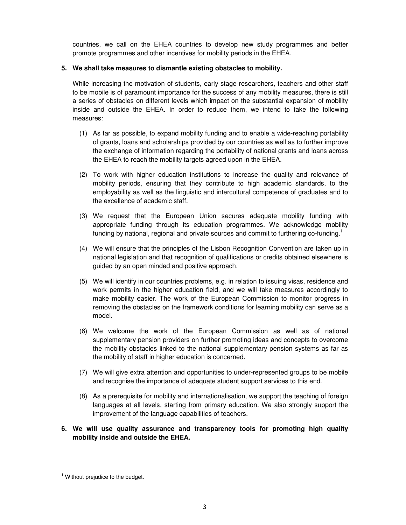countries, we call on the EHEA countries to develop new study programmes and better promote programmes and other incentives for mobility periods in the EHEA.

## **5. We shall take measures to dismantle existing obstacles to mobility.**

While increasing the motivation of students, early stage researchers, teachers and other staff to be mobile is of paramount importance for the success of any mobility measures, there is still a series of obstacles on different levels which impact on the substantial expansion of mobility inside and outside the EHEA. In order to reduce them, we intend to take the following measures:

- (1) As far as possible, to expand mobility funding and to enable a wide-reaching portability of grants, loans and scholarships provided by our countries as well as to further improve the exchange of information regarding the portability of national grants and loans across the EHEA to reach the mobility targets agreed upon in the EHEA.
- (2) To work with higher education institutions to increase the quality and relevance of mobility periods, ensuring that they contribute to high academic standards, to the employability as well as the linguistic and intercultural competence of graduates and to the excellence of academic staff.
- (3) We request that the European Union secures adequate mobility funding with appropriate funding through its education programmes. We acknowledge mobility funding by national, regional and private sources and commit to furthering co-funding.<sup>1</sup>
- (4) We will ensure that the principles of the Lisbon Recognition Convention are taken up in national legislation and that recognition of qualifications or credits obtained elsewhere is guided by an open minded and positive approach.
- (5) We will identify in our countries problems, e.g. in relation to issuing visas, residence and work permits in the higher education field, and we will take measures accordingly to make mobility easier. The work of the European Commission to monitor progress in removing the obstacles on the framework conditions for learning mobility can serve as a model.
- (6) We welcome the work of the European Commission as well as of national supplementary pension providers on further promoting ideas and concepts to overcome the mobility obstacles linked to the national supplementary pension systems as far as the mobility of staff in higher education is concerned.
- (7) We will give extra attention and opportunities to under-represented groups to be mobile and recognise the importance of adequate student support services to this end.
- (8) As a prerequisite for mobility and internationalisation, we support the teaching of foreign languages at all levels, starting from primary education. We also strongly support the improvement of the language capabilities of teachers.

# **6. We will use quality assurance and transparency tools for promoting high quality mobility inside and outside the EHEA.**

 $\overline{a}$ 

 $<sup>1</sup>$  Without prejudice to the budget.</sup>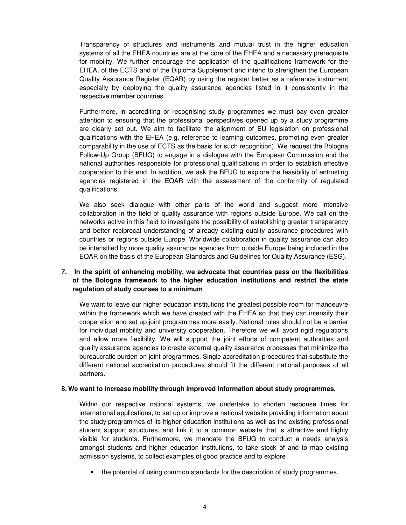Transparency of structures and instruments and mutual trust in the higher education systems of all the EHEA countries are at the core of the EHEA and a necessary prerequisite for mobility. We further encourage the application of the qualifications framework for the EHEA, of the ECTS and of the Diploma Supplement and intend to strengthen the European Quality Assurance Register (EQAR) by using the register better as a reference instrument especially by deploying the quality assurance agencies listed in it consistently in the respective member countries.

Furthermore, in accrediting or recognising study programmes we must pay even greater attention to ensuring that the professional perspectives opened up by a study programme are clearly set out. We aim to facilitate the alignment of EU legislation on professional qualifications with the EHEA (e.g. reference to learning outcomes, promoting even greater comparability in the use of ECTS as the basis for such recognition). We request the Bologna Follow-Up Group (BFUG) to engage in a dialogue with the European Commission and the national authorities responsible for professional qualifications in order to establish effective cooperation to this end. In addition, we ask the BFUG to explore the feasibility of entrusting agencies registered in the EQAR with the assessment of the conformity of regulated qualifications.

We also seek dialogue with other parts of the world and suggest more intensive collaboration in the field of quality assurance with regions outside Europe. We call on the networks active in this field to investigate the possibility of establishing greater transparency and better reciprocal understanding of already existing quality assurance procedures with countries or regions outside Europe. Worldwide collaboration in quality assurance can also be intensified by more quality assurance agencies from outside Europe being included in the EQAR on the basis of the European Standards and Guidelines for Quality Assurance (ESG).

# **7. In the spirit of enhancing mobility, we advocate that countries pass on the flexibilities of the Bologna framework to the higher education institutions and restrict the state regulation of study courses to a minimum**

We want to leave our higher education institutions the greatest possible room for manoeuvre within the framework which we have created with the EHEA so that they can intensify their cooperation and set up joint programmes more easily. National rules should not be a barrier for individual mobility and university cooperation. Therefore we will avoid rigid regulations and allow more flexibility. We will support the joint efforts of competent authorities and quality assurance agencies to create external quality assurance processes that minimize the bureaucratic burden on joint programmes. Single accreditation procedures that substitute the different national accreditation procedures should fit the different national purposes of all partners.

### **8. We want to increase mobility through improved information about study programmes.**

Within our respective national systems, we undertake to shorten response times for international applications, to set up or improve a national website providing information about the study programmes of its higher education institutions as well as the existing professional student support structures, and link it to a common website that is attractive and highly visible for students. Furthermore, we mandate the BFUG to conduct a needs analysis amongst students and higher education institutions, to take stock of and to map existing admission systems, to collect examples of good practice and to explore

• the potential of using common standards for the description of study programmes,